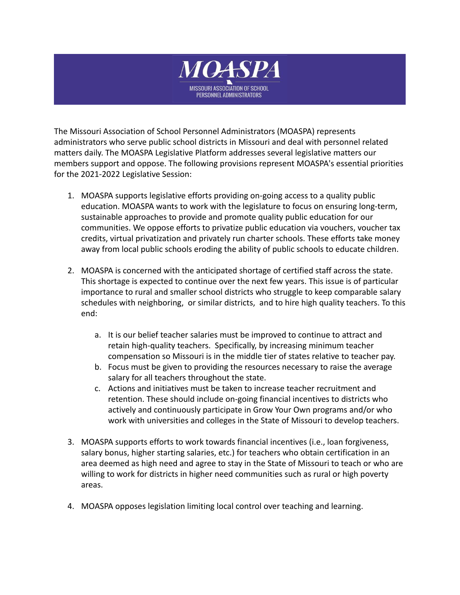

The Missouri Association of School Personnel Administrators (MOASPA) represents administrators who serve public school districts in Missouri and deal with personnel related matters daily. The MOASPA Legislative Platform addresses several legislative matters our members support and oppose. The following provisions represent MOASPA's essential priorities for the 2021-2022 Legislative Session:

- 1. MOASPA supports legislative efforts providing on-going access to a quality public education. MOASPA wants to work with the legislature to focus on ensuring long-term, sustainable approaches to provide and promote quality public education for our communities. We oppose efforts to privatize public education via vouchers, voucher tax credits, virtual privatization and privately run charter schools. These efforts take money away from local public schools eroding the ability of public schools to educate children.
- 2. MOASPA is concerned with the anticipated shortage of certified staff across the state. This shortage is expected to continue over the next few years. This issue is of particular importance to rural and smaller school districts who struggle to keep comparable salary schedules with neighboring, or similar districts, and to hire high quality teachers. To this end:
	- a. It is our belief teacher salaries must be improved to continue to attract and retain high-quality teachers. Specifically, by increasing minimum teacher compensation so Missouri is in the middle tier of states relative to teacher pay.
	- b. Focus must be given to providing the resources necessary to raise the average salary for all teachers throughout the state.
	- c. Actions and initiatives must be taken to increase teacher recruitment and retention. These should include on-going financial incentives to districts who actively and continuously participate in Grow Your Own programs and/or who work with universities and colleges in the State of Missouri to develop teachers.
- 3. MOASPA supports efforts to work towards financial incentives (i.e., loan forgiveness, salary bonus, higher starting salaries, etc.) for teachers who obtain certification in an area deemed as high need and agree to stay in the State of Missouri to teach or who are willing to work for districts in higher need communities such as rural or high poverty areas.
- 4. MOASPA opposes legislation limiting local control over teaching and learning.